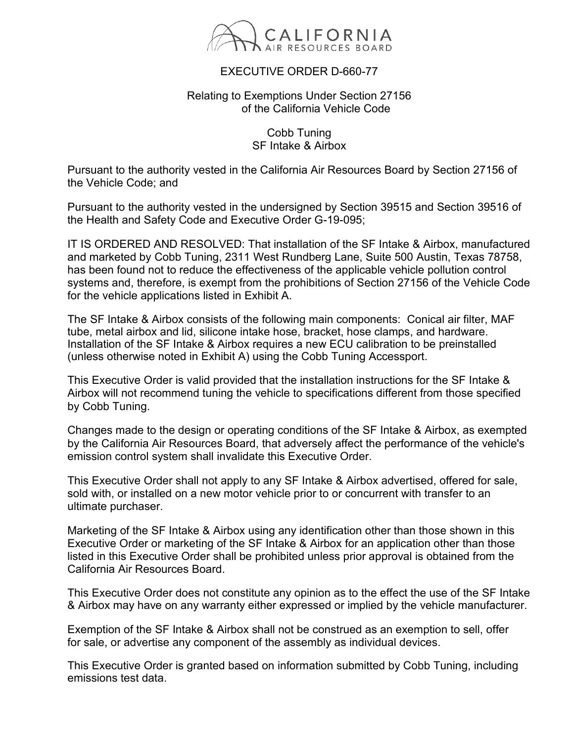

## EXECUTIVE ORDER D-660-77

## Relating to Exemptions Under Section 27156 of the California Vehicle Code

Cobb Tuning SF Intake & Airbox

Pursuant to the authority vested in the California Air Resources Board by Section 27156 of the Vehicle Code; and

Pursuant to the authority vested in the undersigned by Section 39515 and Section 39516 of the Health and Safety Code and Executive Order G-19-095;

IT IS ORDERED AND RESOLVED: That installation of the SF Intake & Airbox, manufactured and marketed by Cobb Tuning, 2311 West Rundberg Lane, Suite 500 Austin, Texas 78758, has been found not to reduce the effectiveness of the applicable vehicle pollution control systems and, therefore, is exempt from the prohibitions of Section 27156 of the Vehicle Code for the vehicle applications listed in Exhibit A.

The SF Intake & Airbox consists of the following main components: Conical air filter, MAF tube, metal airbox and lid, silicone intake hose, bracket, hose clamps, and hardware. Installation of the SF Intake & Airbox requires a new ECU calibration to be preinstalled (unless otherwise noted in Exhibit A) using the Cobb Tuning Accessport.

This Executive Order is valid provided that the installation instructions for the SF Intake & Airbox will not recommend tuning the vehicle to specifications different from those specified by Cobb Tuning.

Changes made to the design or operating conditions of the SF Intake & Airbox, as exempted by the California Air Resources Board, that adversely affect the performance of the vehicle's emission control system shall invalidate this Executive Order.

This Executive Order shall not apply to any SF Intake & Airbox advertised, offered for sale, sold with, or installed on a new motor vehicle prior to or concurrent with transfer to an ultimate purchaser.

Marketing of the SF Intake & Airbox using any identification other than those shown in this Executive Order or marketing of the SF Intake & Airbox for an application other than those listed in this Executive Order shall be prohibited unless prior approval is obtained from the California Air Resources Board.

This Executive Order does not constitute any opinion as to the effect the use of the SF Intake & Airbox may have on any warranty either expressed or implied by the vehicle manufacturer.

Exemption of the SF Intake & Airbox shall not be construed as an exemption to sell, offer for sale, or advertise any component of the assembly as individual devices.

This Executive Order is granted based on information submitted by Cobb Tuning, including emissions test data.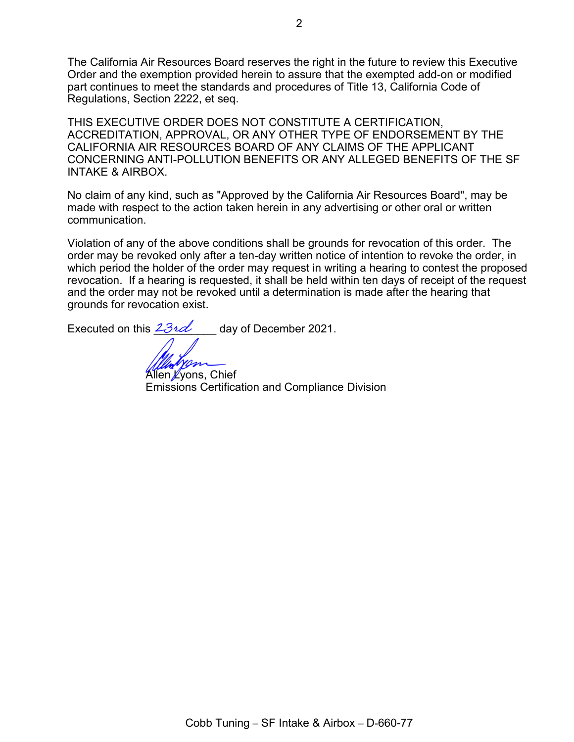The California Air Resources Board reserves the right in the future to review this Executive Order and the exemption provided herein to assure that the exempted add-on or modified part continues to meet the standards and procedures of Title 13, California Code of Regulations, Section 2222, et seq.

THIS EXECUTIVE ORDER DOES NOT CONSTITUTE A CERTIFICATION, ACCREDITATION, APPROVAL, OR ANY OTHER TYPE OF ENDORSEMENT BY THE CALIFORNIA AIR RESOURCES BOARD OF ANY CLAIMS OF THE APPLICANT CONCERNING ANTI-POLLUTION BENEFITS OR ANY ALLEGED BENEFITS OF THE SF INTAKE & AIRBOX.

No claim of any kind, such as "Approved by the California Air Resources Board", may be made with respect to the action taken herein in any advertising or other oral or written communication.

Violation of any of the above conditions shall be grounds for revocation of this order. The order may be revoked only after a ten-day written notice of intention to revoke the order, in which period the holder of the order may request in writing a hearing to contest the proposed revocation. If a hearing is requested, it shall be held within ten days of receipt of the request and the order may not be revoked until a determination is made after the hearing that grounds for revocation exist.

Executed on this  $23\nu d$  day of December 2021.

Allen Lyons, Chief Emissions Certification and Compliance Division